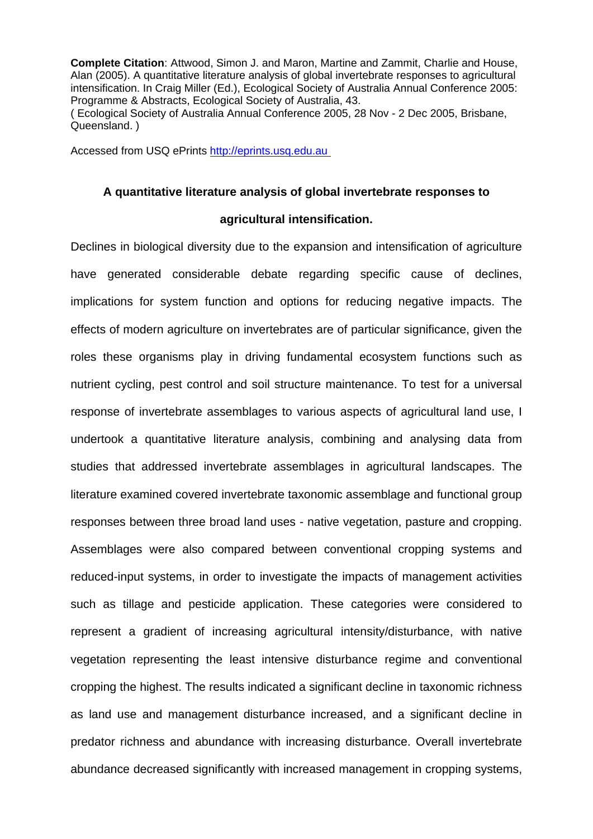**Complete Citation**: Attwood, Simon J. and Maron, Martine and Zammit, Charlie and House, Alan (2005). A quantitative literature analysis of global invertebrate responses to agricultural intensification. In Craig Miller (Ed.), Ecological Society of Australia Annual Conference 2005: Programme & Abstracts, Ecological Society of Australia, 43. ( Ecological Society of Australia Annual Conference 2005, 28 Nov - 2 Dec 2005, Brisbane,

Queensland. )

Accessed from USQ ePrints http://eprints.usq.edu.au

## **A quantitative literature analysis of global invertebrate responses to**

## **agricultural intensification.**

Declines in biological diversity due to the expansion and intensification of agriculture have generated considerable debate regarding specific cause of declines, implications for system function and options for reducing negative impacts. The effects of modern agriculture on invertebrates are of particular significance, given the roles these organisms play in driving fundamental ecosystem functions such as nutrient cycling, pest control and soil structure maintenance. To test for a universal response of invertebrate assemblages to various aspects of agricultural land use, I undertook a quantitative literature analysis, combining and analysing data from studies that addressed invertebrate assemblages in agricultural landscapes. The literature examined covered invertebrate taxonomic assemblage and functional group responses between three broad land uses - native vegetation, pasture and cropping. Assemblages were also compared between conventional cropping systems and reduced-input systems, in order to investigate the impacts of management activities such as tillage and pesticide application. These categories were considered to represent a gradient of increasing agricultural intensity/disturbance, with native vegetation representing the least intensive disturbance regime and conventional cropping the highest. The results indicated a significant decline in taxonomic richness as land use and management disturbance increased, and a significant decline in predator richness and abundance with increasing disturbance. Overall invertebrate abundance decreased significantly with increased management in cropping systems,